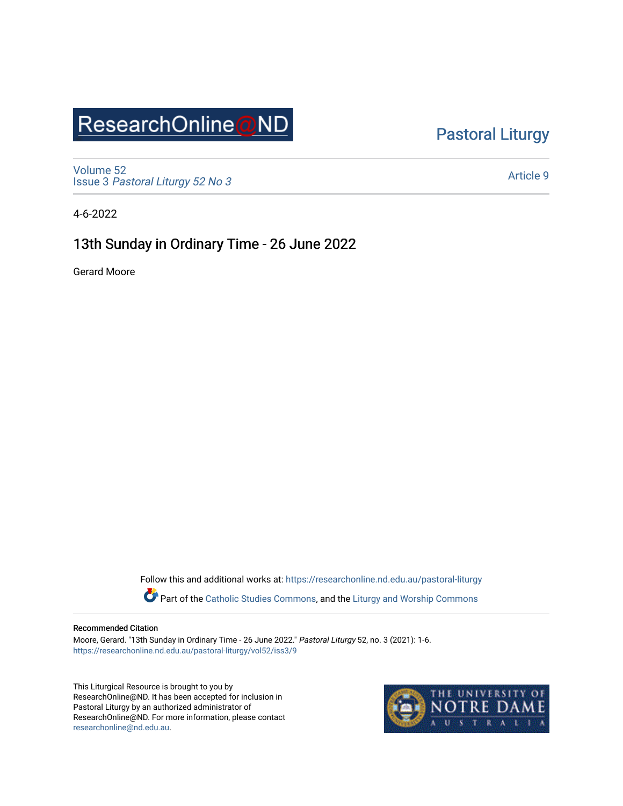# ResearchOnline@ND

#### [Pastoral Liturgy](https://researchonline.nd.edu.au/pastoral-liturgy)

[Volume 52](https://researchonline.nd.edu.au/pastoral-liturgy/vol52) Issue 3 [Pastoral Liturgy 52 No 3](https://researchonline.nd.edu.au/pastoral-liturgy/vol52/iss3)

[Article 9](https://researchonline.nd.edu.au/pastoral-liturgy/vol52/iss3/9) 

4-6-2022

#### 13th Sunday in Ordinary Time - 26 June 2022

Gerard Moore

Follow this and additional works at: [https://researchonline.nd.edu.au/pastoral-liturgy](https://researchonline.nd.edu.au/pastoral-liturgy?utm_source=researchonline.nd.edu.au%2Fpastoral-liturgy%2Fvol52%2Fiss3%2F9&utm_medium=PDF&utm_campaign=PDFCoverPages)

Part of the [Catholic Studies Commons,](https://network.bepress.com/hgg/discipline/1294?utm_source=researchonline.nd.edu.au%2Fpastoral-liturgy%2Fvol52%2Fiss3%2F9&utm_medium=PDF&utm_campaign=PDFCoverPages) and the Liturgy and Worship Commons

#### Recommended Citation

Moore, Gerard. "13th Sunday in Ordinary Time - 26 June 2022." Pastoral Liturgy 52, no. 3 (2021): 1-6. [https://researchonline.nd.edu.au/pastoral-liturgy/vol52/iss3/9](https://researchonline.nd.edu.au/pastoral-liturgy/vol52/iss3/9?utm_source=researchonline.nd.edu.au%2Fpastoral-liturgy%2Fvol52%2Fiss3%2F9&utm_medium=PDF&utm_campaign=PDFCoverPages) 

This Liturgical Resource is brought to you by ResearchOnline@ND. It has been accepted for inclusion in Pastoral Liturgy by an authorized administrator of ResearchOnline@ND. For more information, please contact [researchonline@nd.edu.au.](mailto:researchonline@nd.edu.au)

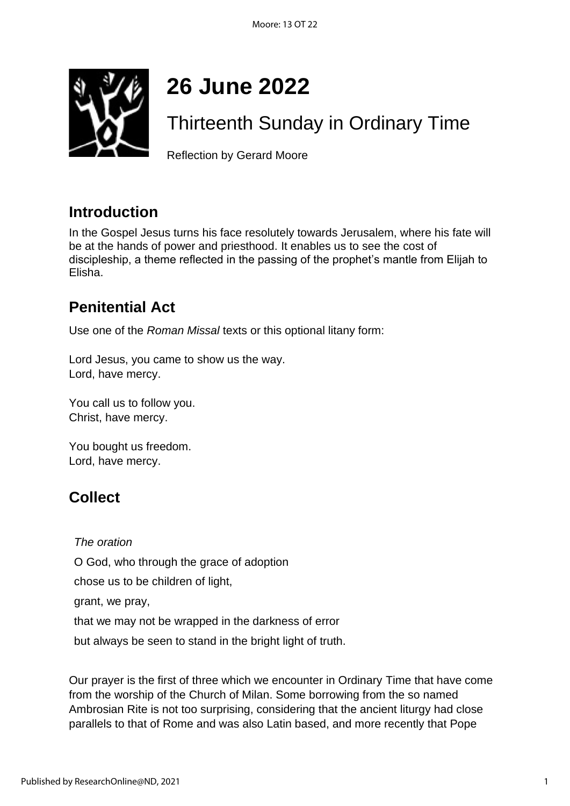

# **26 June 2022**

# Thirteenth Sunday in Ordinary Time

Reflection by Gerard Moore

#### **Introduction**

In the Gospel Jesus turns his face resolutely towards Jerusalem, where his fate will be at the hands of power and priesthood. It enables us to see the cost of discipleship, a theme reflected in the passing of the prophet's mantle from Elijah to Elisha.

## **Penitential Act**

Use one of the *Roman Missal* texts or this optional litany form:

Lord Jesus, you came to show us the way. Lord, have mercy.

You call us to follow you. Christ, have mercy.

You bought us freedom. Lord, have mercy.

## **Collect**

*The oration* O God, who through the grace of adoption chose us to be children of light, grant, we pray, that we may not be wrapped in the darkness of error but always be seen to stand in the bright light of truth.

Our prayer is the first of three which we encounter in Ordinary Time that have come from the worship of the Church of Milan. Some borrowing from the so named Ambrosian Rite is not too surprising, considering that the ancient liturgy had close parallels to that of Rome and was also Latin based, and more recently that Pope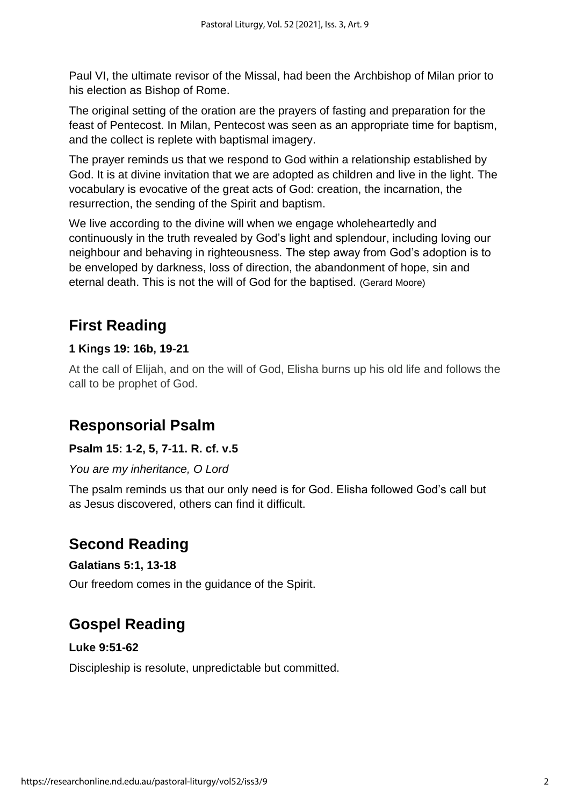Paul VI, the ultimate revisor of the Missal, had been the Archbishop of Milan prior to his election as Bishop of Rome.

The original setting of the oration are the prayers of fasting and preparation for the feast of Pentecost. In Milan, Pentecost was seen as an appropriate time for baptism, and the collect is replete with baptismal imagery.

The prayer reminds us that we respond to God within a relationship established by God. It is at divine invitation that we are adopted as children and live in the light. The vocabulary is evocative of the great acts of God: creation, the incarnation, the resurrection, the sending of the Spirit and baptism.

We live according to the divine will when we engage wholeheartedly and continuously in the truth revealed by God's light and splendour, including loving our neighbour and behaving in righteousness. The step away from God's adoption is to be enveloped by darkness, loss of direction, the abandonment of hope, sin and eternal death. This is not the will of God for the baptised. (Gerard Moore)

## **First Reading**

#### **1 Kings 19: 16b, 19-21**

At the call of Elijah, and on the will of God, Elisha burns up his old life and follows the call to be prophet of God.

#### **Responsorial Psalm**

#### **Psalm 15: 1-2, 5, 7-11. R. cf. v.5**

*You are my inheritance, O Lord*

The psalm reminds us that our only need is for God. Elisha followed God's call but as Jesus discovered, others can find it difficult.

#### **Second Reading**

#### **Galatians 5:1, 13-18**

Our freedom comes in the guidance of the Spirit.

## **Gospel Reading**

#### **Luke 9:51-62**

Discipleship is resolute, unpredictable but committed.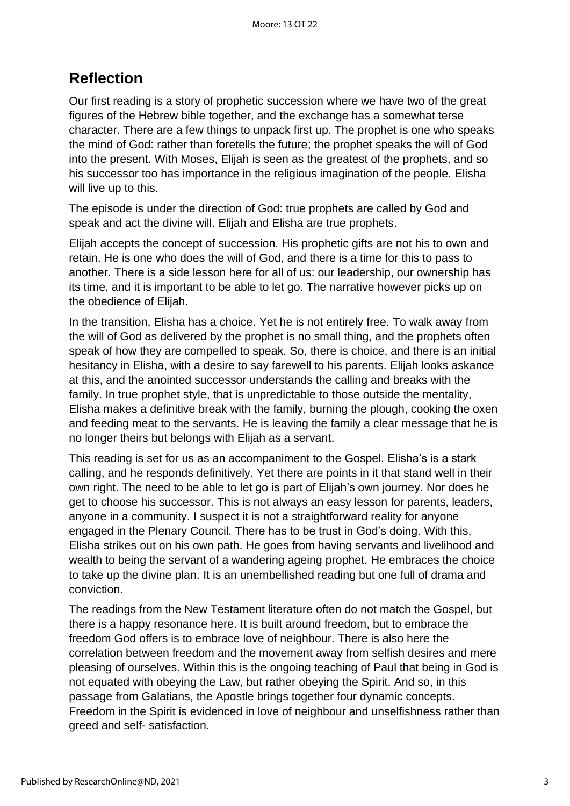#### **Reflection**

Our first reading is a story of prophetic succession where we have two of the great figures of the Hebrew bible together, and the exchange has a somewhat terse character. There are a few things to unpack first up. The prophet is one who speaks the mind of God: rather than foretells the future; the prophet speaks the will of God into the present. With Moses, Elijah is seen as the greatest of the prophets, and so his successor too has importance in the religious imagination of the people. Elisha will live up to this.

The episode is under the direction of God: true prophets are called by God and speak and act the divine will. Elijah and Elisha are true prophets.

Elijah accepts the concept of succession. His prophetic gifts are not his to own and retain. He is one who does the will of God, and there is a time for this to pass to another. There is a side lesson here for all of us: our leadership, our ownership has its time, and it is important to be able to let go. The narrative however picks up on the obedience of Elijah.

In the transition, Elisha has a choice. Yet he is not entirely free. To walk away from the will of God as delivered by the prophet is no small thing, and the prophets often speak of how they are compelled to speak. So, there is choice, and there is an initial hesitancy in Elisha, with a desire to say farewell to his parents. Elijah looks askance at this, and the anointed successor understands the calling and breaks with the family. In true prophet style, that is unpredictable to those outside the mentality, Elisha makes a definitive break with the family, burning the plough, cooking the oxen and feeding meat to the servants. He is leaving the family a clear message that he is no longer theirs but belongs with Elijah as a servant.

This reading is set for us as an accompaniment to the Gospel. Elisha's is a stark calling, and he responds definitively. Yet there are points in it that stand well in their own right. The need to be able to let go is part of Elijah's own journey. Nor does he get to choose his successor. This is not always an easy lesson for parents, leaders, anyone in a community. I suspect it is not a straightforward reality for anyone engaged in the Plenary Council. There has to be trust in God's doing. With this, Elisha strikes out on his own path. He goes from having servants and livelihood and wealth to being the servant of a wandering ageing prophet. He embraces the choice to take up the divine plan. It is an unembellished reading but one full of drama and conviction.

The readings from the New Testament literature often do not match the Gospel, but there is a happy resonance here. It is built around freedom, but to embrace the freedom God offers is to embrace love of neighbour. There is also here the correlation between freedom and the movement away from selfish desires and mere pleasing of ourselves. Within this is the ongoing teaching of Paul that being in God is not equated with obeying the Law, but rather obeying the Spirit. And so, in this passage from Galatians, the Apostle brings together four dynamic concepts. Freedom in the Spirit is evidenced in love of neighbour and unselfishness rather than greed and self- satisfaction.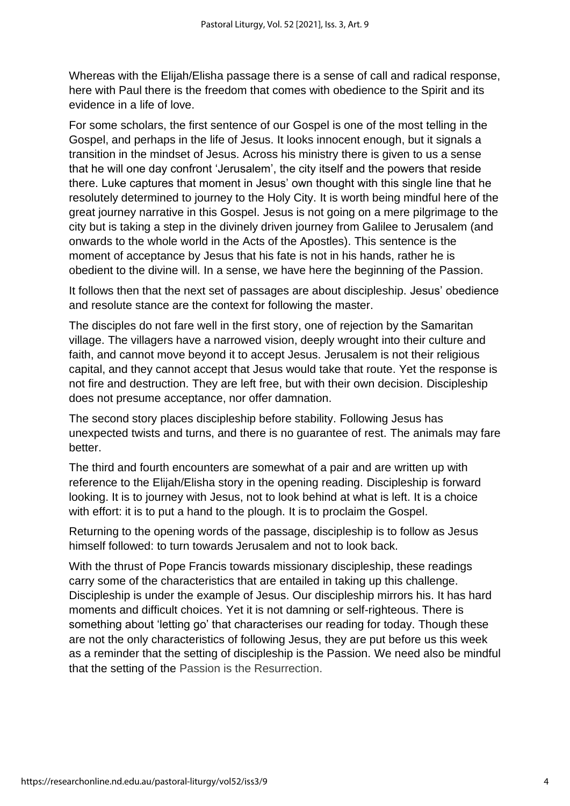Whereas with the Elijah/Elisha passage there is a sense of call and radical response, here with Paul there is the freedom that comes with obedience to the Spirit and its evidence in a life of love.

For some scholars, the first sentence of our Gospel is one of the most telling in the Gospel, and perhaps in the life of Jesus. It looks innocent enough, but it signals a transition in the mindset of Jesus. Across his ministry there is given to us a sense that he will one day confront 'Jerusalem', the city itself and the powers that reside there. Luke captures that moment in Jesus' own thought with this single line that he resolutely determined to journey to the Holy City. It is worth being mindful here of the great journey narrative in this Gospel. Jesus is not going on a mere pilgrimage to the city but is taking a step in the divinely driven journey from Galilee to Jerusalem (and onwards to the whole world in the Acts of the Apostles). This sentence is the moment of acceptance by Jesus that his fate is not in his hands, rather he is obedient to the divine will. In a sense, we have here the beginning of the Passion.

It follows then that the next set of passages are about discipleship. Jesus' obedience and resolute stance are the context for following the master.

The disciples do not fare well in the first story, one of rejection by the Samaritan village. The villagers have a narrowed vision, deeply wrought into their culture and faith, and cannot move beyond it to accept Jesus. Jerusalem is not their religious capital, and they cannot accept that Jesus would take that route. Yet the response is not fire and destruction. They are left free, but with their own decision. Discipleship does not presume acceptance, nor offer damnation.

The second story places discipleship before stability. Following Jesus has unexpected twists and turns, and there is no guarantee of rest. The animals may fare better.

The third and fourth encounters are somewhat of a pair and are written up with reference to the Elijah/Elisha story in the opening reading. Discipleship is forward looking. It is to journey with Jesus, not to look behind at what is left. It is a choice with effort: it is to put a hand to the plough. It is to proclaim the Gospel.

Returning to the opening words of the passage, discipleship is to follow as Jesus himself followed: to turn towards Jerusalem and not to look back.

With the thrust of Pope Francis towards missionary discipleship, these readings carry some of the characteristics that are entailed in taking up this challenge. Discipleship is under the example of Jesus. Our discipleship mirrors his. It has hard moments and difficult choices. Yet it is not damning or self-righteous. There is something about 'letting go' that characterises our reading for today. Though these are not the only characteristics of following Jesus, they are put before us this week as a reminder that the setting of discipleship is the Passion. We need also be mindful that the setting of the Passion is the Resurrection.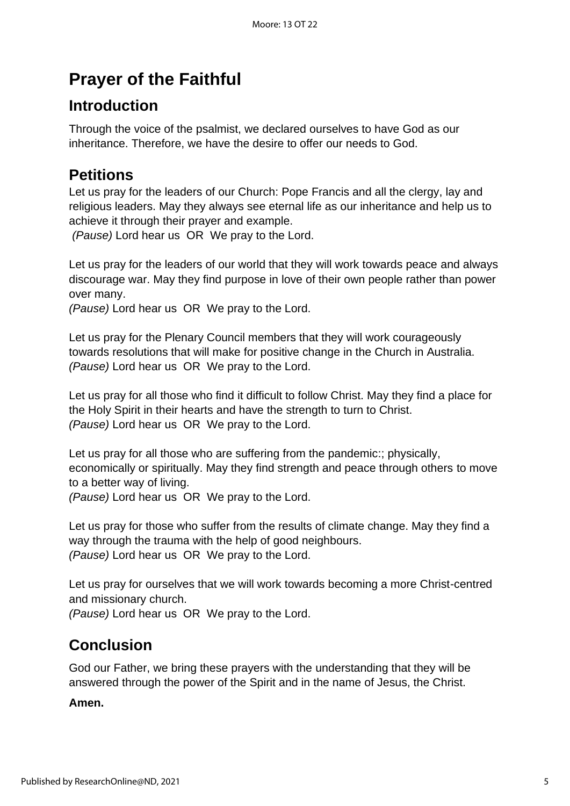## **Prayer of the Faithful**

## **Introduction**

Through the voice of the psalmist, we declared ourselves to have God as our inheritance. Therefore, we have the desire to offer our needs to God.

#### **Petitions**

Let us pray for the leaders of our Church: Pope Francis and all the clergy, lay and religious leaders. May they always see eternal life as our inheritance and help us to achieve it through their prayer and example.

*(Pause)* Lord hear us OR We pray to the Lord.

Let us pray for the leaders of our world that they will work towards peace and always discourage war. May they find purpose in love of their own people rather than power over many.

*(Pause)* Lord hear us OR We pray to the Lord.

Let us pray for the Plenary Council members that they will work courageously towards resolutions that will make for positive change in the Church in Australia. *(Pause)* Lord hear us OR We pray to the Lord.

Let us pray for all those who find it difficult to follow Christ. May they find a place for the Holy Spirit in their hearts and have the strength to turn to Christ. *(Pause)* Lord hear us OR We pray to the Lord.

Let us pray for all those who are suffering from the pandemic:; physically, economically or spiritually. May they find strength and peace through others to move to a better way of living.

*(Pause)* Lord hear us OR We pray to the Lord.

Let us pray for those who suffer from the results of climate change. May they find a way through the trauma with the help of good neighbours. *(Pause)* Lord hear us OR We pray to the Lord.

Let us pray for ourselves that we will work towards becoming a more Christ-centred and missionary church.

*(Pause)* Lord hear us OR We pray to the Lord.

## **Conclusion**

God our Father, we bring these prayers with the understanding that they will be answered through the power of the Spirit and in the name of Jesus, the Christ.

**Amen.**